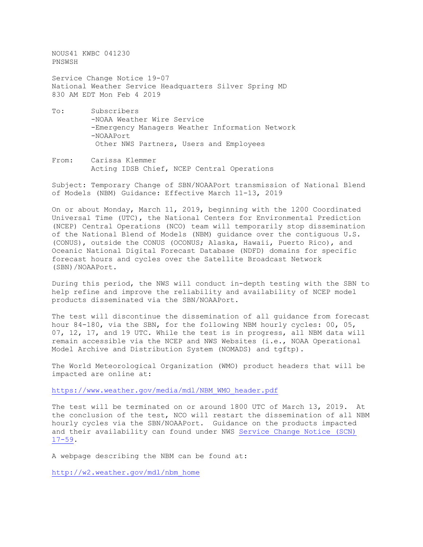NOUS41 KWBC 041230 PNSWSH Service Change Notice 19-07 National Weather Service Headquarters Silver Spring MD 830 AM EDT Mon Feb 4 2019 To: Subscribers -NOAA Weather Wire Service

- -Emergency Managers Weather Information Network -NOAAPort Other NWS Partners, Users and Employees
- From: Carissa Klemmer Acting IDSB Chief, NCEP Central Operations

Subject: Temporary Change of SBN/NOAAPort transmission of National Blend of Models (NBM) Guidance: Effective March 11-13, 2019

On or about Monday, March 11, 2019, beginning with the 1200 Coordinated Universal Time (UTC), the National Centers for Environmental Prediction (NCEP) Central Operations (NCO) team will temporarily stop dissemination of the National Blend of Models (NBM) guidance over the contiguous U.S. (CONUS), outside the CONUS (OCONUS; Alaska, Hawaii, Puerto Rico), and Oceanic National Digital Forecast Database (NDFD) domains for specific forecast hours and cycles over the Satellite Broadcast Network (SBN)/NOAAPort.

During this period, the NWS will conduct in-depth testing with the SBN to help refine and improve the reliability and availability of NCEP model products disseminated via the SBN/NOAAPort.

The test will discontinue the dissemination of all guidance from forecast hour 84-180, via the SBN, for the following NBM hourly cycles: 00, 05, 07, 12, 17, and 19 UTC. While the test is in progress, all NBM data will remain accessible via the NCEP and NWS Websites (i.e., NOAA Operational Model Archive and Distribution System (NOMADS) and tgftp).

The World Meteorological Organization (WMO) product headers that will be impacted are online at:

[https://www.weather.gov/media/mdl/NBM\\_WMO\\_header.pdf](https://www.weather.gov/media/mdl/NBM_WMO_header.pdf)

The test will be terminated on or around 1800 UTC of March 13, 2019. At the conclusion of the test, NCO will restart the dissemination of all NBM hourly cycles via the SBN/NOAAPort. Guidance on the products impacted and their availability can found under NWS [Service Change Notice \(SCN\)](https://www.weather.gov/media/notification/pdfs/scn17-59nbm3aaf.pdf) [17-59.](https://www.weather.gov/media/notification/pdfs/scn17-59nbm3aaf.pdf)

A webpage describing the NBM can be found at:

[http://w2.weather.gov/mdl/nbm\\_home](http://w2.weather.gov/mdl/nbm_home)